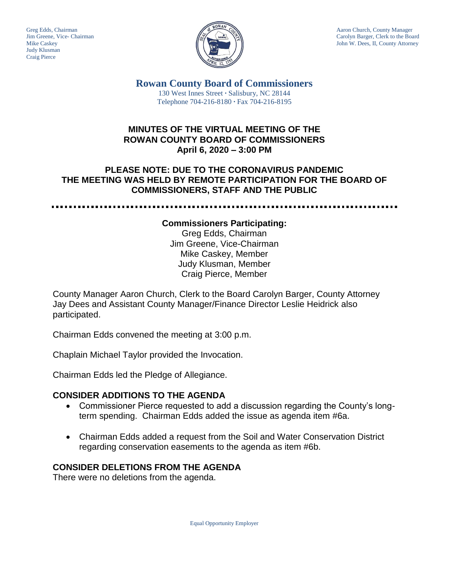Judy Klusman Craig Pierce



Greg Edds, Chairman Aaron Church, County Manager<br>Jim Greene, Vice- Chairman Aaron Church, County Manager<br>Carolyn Barger, Clerk to the Boa Carolyn Barger, Clerk to the Board Mike Caskey John W. Dees, II, County Attorney

> **Rowan County Board of Commissioners** 130 West Innes Street **∙** Salisbury, NC 28144 Telephone 704-216-8180 **∙** Fax 704-216-8195

## **MINUTES OF THE VIRTUAL MEETING OF THE ROWAN COUNTY BOARD OF COMMISSIONERS April 6, 2020 – 3:00 PM**

# **PLEASE NOTE: DUE TO THE CORONAVIRUS PANDEMIC THE MEETING WAS HELD BY REMOTE PARTICIPATION FOR THE BOARD OF COMMISSIONERS, STAFF AND THE PUBLIC**

.....................

#### **Commissioners Participating:**

Greg Edds, Chairman Jim Greene, Vice-Chairman Mike Caskey, Member Judy Klusman, Member Craig Pierce, Member

County Manager Aaron Church, Clerk to the Board Carolyn Barger, County Attorney Jay Dees and Assistant County Manager/Finance Director Leslie Heidrick also participated.

Chairman Edds convened the meeting at 3:00 p.m.

Chaplain Michael Taylor provided the Invocation.

Chairman Edds led the Pledge of Allegiance.

## **CONSIDER ADDITIONS TO THE AGENDA**

- Commissioner Pierce requested to add a discussion regarding the County's longterm spending. Chairman Edds added the issue as agenda item #6a.
- Chairman Edds added a request from the Soil and Water Conservation District regarding conservation easements to the agenda as item #6b.

## **CONSIDER DELETIONS FROM THE AGENDA**

There were no deletions from the agenda.

Equal Opportunity Employer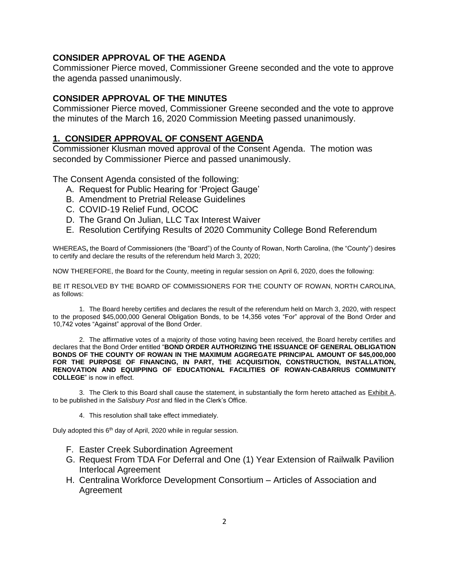#### **CONSIDER APPROVAL OF THE AGENDA**

Commissioner Pierce moved, Commissioner Greene seconded and the vote to approve the agenda passed unanimously.

#### **CONSIDER APPROVAL OF THE MINUTES**

Commissioner Pierce moved, Commissioner Greene seconded and the vote to approve the minutes of the March 16, 2020 Commission Meeting passed unanimously.

#### **1. CONSIDER APPROVAL OF CONSENT AGENDA**

Commissioner Klusman moved approval of the Consent Agenda. The motion was seconded by Commissioner Pierce and passed unanimously.

The Consent Agenda consisted of the following:

- A. Request for Public Hearing for 'Project Gauge'
- B. Amendment to Pretrial Release Guidelines
- C. COVID-19 Relief Fund, OCOC
- D. The Grand On Julian, LLC Tax Interest Waiver
- E. Resolution Certifying Results of 2020 Community College Bond Referendum

WHEREAS**,** the Board of Commissioners (the "Board") of the County of Rowan, North Carolina, (the "County") desires to certify and declare the results of the referendum held March 3, 2020;

NOW THEREFORE, the Board for the County, meeting in regular session on April 6, 2020, does the following:

BE IT RESOLVED BY THE BOARD OF COMMISSIONERS FOR THE COUNTY OF ROWAN, NORTH CAROLINA, as follows:

1. The Board hereby certifies and declares the result of the referendum held on March 3, 2020, with respect to the proposed \$45,000,000 General Obligation Bonds, to be 14,356 votes "For" approval of the Bond Order and 10,742 votes "Against" approval of the Bond Order.

2. The affirmative votes of a majority of those voting having been received, the Board hereby certifies and declares that the Bond Order entitled "**BOND ORDER AUTHORIZING THE ISSUANCE OF GENERAL OBLIGATION BONDS OF THE COUNTY OF ROWAN IN THE MAXIMUM AGGREGATE PRINCIPAL AMOUNT OF \$45,000,000 FOR THE PURPOSE OF FINANCING, IN PART, THE ACQUISITION, CONSTRUCTION, INSTALLATION, RENOVATION AND EQUIPPING OF EDUCATIONAL FACILITIES OF ROWAN-CABARRUS COMMUNITY COLLEGE**" is now in effect.

3. The Clerk to this Board shall cause the statement, in substantially the form hereto attached as Exhibit A, to be published in the *Salisbury Post* and filed in the Clerk's Office.

4. This resolution shall take effect immediately.

Duly adopted this 6<sup>th</sup> day of April, 2020 while in regular session.

- F. Easter Creek Subordination Agreement
- G. Request From TDA For Deferral and One (1) Year Extension of Railwalk Pavilion Interlocal Agreement
- H. Centralina Workforce Development Consortium Articles of Association and Agreement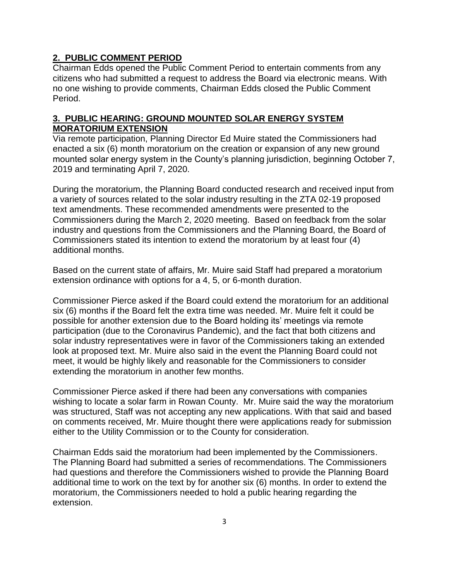# **2. PUBLIC COMMENT PERIOD**

Chairman Edds opened the Public Comment Period to entertain comments from any citizens who had submitted a request to address the Board via electronic means. With no one wishing to provide comments, Chairman Edds closed the Public Comment Period.

## **3. PUBLIC HEARING: GROUND MOUNTED SOLAR ENERGY SYSTEM MORATORIUM EXTENSION**

Via remote participation, Planning Director Ed Muire stated the Commissioners had enacted a six (6) month moratorium on the creation or expansion of any new ground mounted solar energy system in the County's planning jurisdiction, beginning October 7, 2019 and terminating April 7, 2020.

During the moratorium, the Planning Board conducted research and received input from a variety of sources related to the solar industry resulting in the ZTA 02-19 proposed text amendments. These recommended amendments were presented to the Commissioners during the March 2, 2020 meeting. Based on feedback from the solar industry and questions from the Commissioners and the Planning Board, the Board of Commissioners stated its intention to extend the moratorium by at least four (4) additional months.

Based on the current state of affairs, Mr. Muire said Staff had prepared a moratorium extension ordinance with options for a 4, 5, or 6-month duration.

Commissioner Pierce asked if the Board could extend the moratorium for an additional six (6) months if the Board felt the extra time was needed. Mr. Muire felt it could be possible for another extension due to the Board holding its' meetings via remote participation (due to the Coronavirus Pandemic), and the fact that both citizens and solar industry representatives were in favor of the Commissioners taking an extended look at proposed text. Mr. Muire also said in the event the Planning Board could not meet, it would be highly likely and reasonable for the Commissioners to consider extending the moratorium in another few months.

Commissioner Pierce asked if there had been any conversations with companies wishing to locate a solar farm in Rowan County. Mr. Muire said the way the moratorium was structured, Staff was not accepting any new applications. With that said and based on comments received, Mr. Muire thought there were applications ready for submission either to the Utility Commission or to the County for consideration.

Chairman Edds said the moratorium had been implemented by the Commissioners. The Planning Board had submitted a series of recommendations. The Commissioners had questions and therefore the Commissioners wished to provide the Planning Board additional time to work on the text by for another six (6) months. In order to extend the moratorium, the Commissioners needed to hold a public hearing regarding the extension.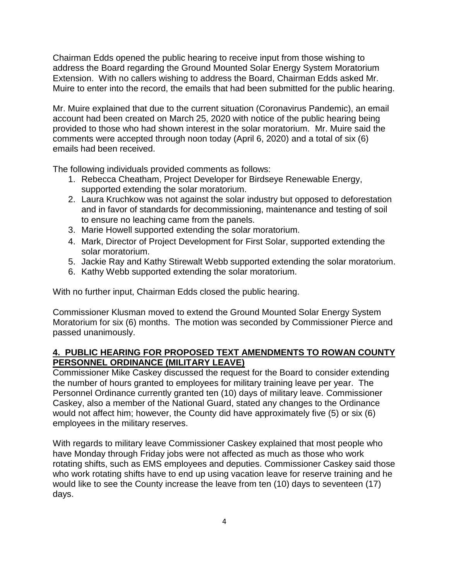Chairman Edds opened the public hearing to receive input from those wishing to address the Board regarding the Ground Mounted Solar Energy System Moratorium Extension. With no callers wishing to address the Board, Chairman Edds asked Mr. Muire to enter into the record, the emails that had been submitted for the public hearing.

Mr. Muire explained that due to the current situation (Coronavirus Pandemic), an email account had been created on March 25, 2020 with notice of the public hearing being provided to those who had shown interest in the solar moratorium. Mr. Muire said the comments were accepted through noon today (April 6, 2020) and a total of six (6) emails had been received.

The following individuals provided comments as follows:

- 1. Rebecca Cheatham, Project Developer for Birdseye Renewable Energy, supported extending the solar moratorium.
- 2. Laura Kruchkow was not against the solar industry but opposed to deforestation and in favor of standards for decommissioning, maintenance and testing of soil to ensure no leaching came from the panels.
- 3. Marie Howell supported extending the solar moratorium.
- 4. Mark, Director of Project Development for First Solar, supported extending the solar moratorium.
- 5. Jackie Ray and Kathy Stirewalt Webb supported extending the solar moratorium.
- 6. Kathy Webb supported extending the solar moratorium.

With no further input, Chairman Edds closed the public hearing.

Commissioner Klusman moved to extend the Ground Mounted Solar Energy System Moratorium for six (6) months. The motion was seconded by Commissioner Pierce and passed unanimously.

## **4. PUBLIC HEARING FOR PROPOSED TEXT AMENDMENTS TO ROWAN COUNTY PERSONNEL ORDINANCE (MILITARY LEAVE)**

Commissioner Mike Caskey discussed the request for the Board to consider extending the number of hours granted to employees for military training leave per year. The Personnel Ordinance currently granted ten (10) days of military leave. Commissioner Caskey, also a member of the National Guard, stated any changes to the Ordinance would not affect him; however, the County did have approximately five (5) or six (6) employees in the military reserves.

With regards to military leave Commissioner Caskey explained that most people who have Monday through Friday jobs were not affected as much as those who work rotating shifts, such as EMS employees and deputies. Commissioner Caskey said those who work rotating shifts have to end up using vacation leave for reserve training and he would like to see the County increase the leave from ten (10) days to seventeen (17) days.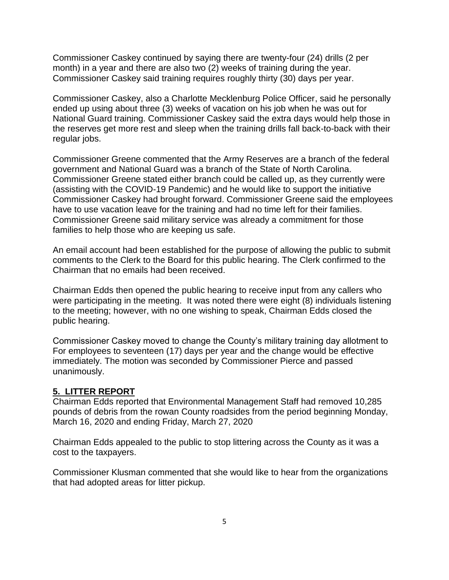Commissioner Caskey continued by saying there are twenty-four (24) drills (2 per month) in a year and there are also two (2) weeks of training during the year. Commissioner Caskey said training requires roughly thirty (30) days per year.

Commissioner Caskey, also a Charlotte Mecklenburg Police Officer, said he personally ended up using about three (3) weeks of vacation on his job when he was out for National Guard training. Commissioner Caskey said the extra days would help those in the reserves get more rest and sleep when the training drills fall back-to-back with their regular jobs.

Commissioner Greene commented that the Army Reserves are a branch of the federal government and National Guard was a branch of the State of North Carolina. Commissioner Greene stated either branch could be called up, as they currently were (assisting with the COVID-19 Pandemic) and he would like to support the initiative Commissioner Caskey had brought forward. Commissioner Greene said the employees have to use vacation leave for the training and had no time left for their families. Commissioner Greene said military service was already a commitment for those families to help those who are keeping us safe.

An email account had been established for the purpose of allowing the public to submit comments to the Clerk to the Board for this public hearing. The Clerk confirmed to the Chairman that no emails had been received.

Chairman Edds then opened the public hearing to receive input from any callers who were participating in the meeting. It was noted there were eight (8) individuals listening to the meeting; however, with no one wishing to speak, Chairman Edds closed the public hearing.

Commissioner Caskey moved to change the County's military training day allotment to For employees to seventeen (17) days per year and the change would be effective immediately. The motion was seconded by Commissioner Pierce and passed unanimously.

## **5. LITTER REPORT**

Chairman Edds reported that Environmental Management Staff had removed 10,285 pounds of debris from the rowan County roadsides from the period beginning Monday, March 16, 2020 and ending Friday, March 27, 2020

Chairman Edds appealed to the public to stop littering across the County as it was a cost to the taxpayers.

Commissioner Klusman commented that she would like to hear from the organizations that had adopted areas for litter pickup.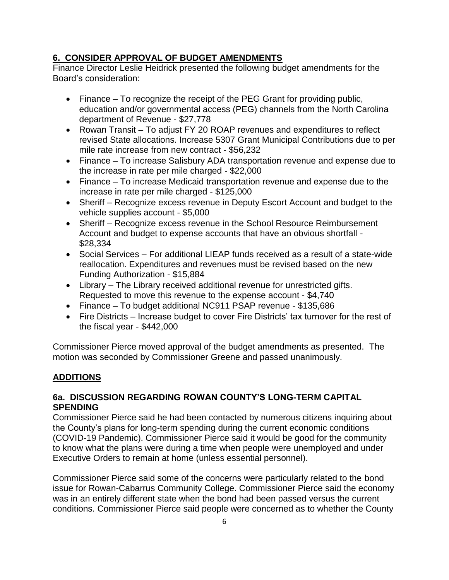# **6. CONSIDER APPROVAL OF BUDGET AMENDMENTS**

Finance Director Leslie Heidrick presented the following budget amendments for the Board's consideration:

- Finance To recognize the receipt of the PEG Grant for providing public, education and/or governmental access (PEG) channels from the North Carolina department of Revenue - \$27,778
- Rowan Transit To adjust FY 20 ROAP revenues and expenditures to reflect revised State allocations. Increase 5307 Grant Municipal Contributions due to per mile rate increase from new contract - \$56,232
- Finance To increase Salisbury ADA transportation revenue and expense due to the increase in rate per mile charged - \$22,000
- Finance To increase Medicaid transportation revenue and expense due to the increase in rate per mile charged - \$125,000
- Sheriff Recognize excess revenue in Deputy Escort Account and budget to the vehicle supplies account - \$5,000
- Sheriff Recognize excess revenue in the School Resource Reimbursement Account and budget to expense accounts that have an obvious shortfall - \$28,334
- Social Services For additional LIEAP funds received as a result of a state-wide reallocation. Expenditures and revenues must be revised based on the new Funding Authorization - \$15,884
- Library The Library received additional revenue for unrestricted gifts. Requested to move this revenue to the expense account - \$4,740
- Finance To budget additional NC911 PSAP revenue \$135,686
- Fire Districts Increase budget to cover Fire Districts' tax turnover for the rest of the fiscal year - \$442,000

Commissioner Pierce moved approval of the budget amendments as presented. The motion was seconded by Commissioner Greene and passed unanimously.

# **ADDITIONS**

# **6a. DISCUSSION REGARDING ROWAN COUNTY'S LONG-TERM CAPITAL SPENDING**

Commissioner Pierce said he had been contacted by numerous citizens inquiring about the County's plans for long-term spending during the current economic conditions (COVID-19 Pandemic). Commissioner Pierce said it would be good for the community to know what the plans were during a time when people were unemployed and under Executive Orders to remain at home (unless essential personnel).

Commissioner Pierce said some of the concerns were particularly related to the bond issue for Rowan-Cabarrus Community College. Commissioner Pierce said the economy was in an entirely different state when the bond had been passed versus the current conditions. Commissioner Pierce said people were concerned as to whether the County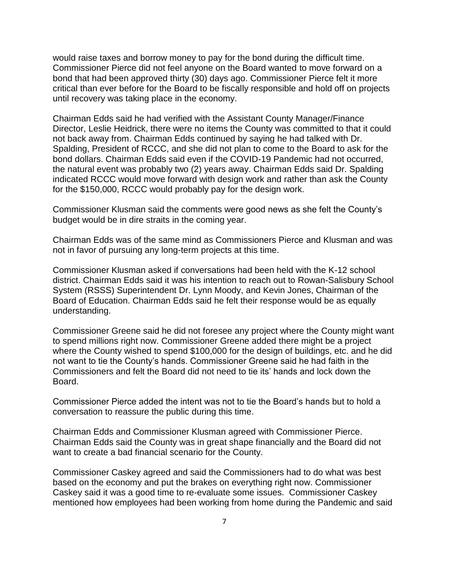would raise taxes and borrow money to pay for the bond during the difficult time. Commissioner Pierce did not feel anyone on the Board wanted to move forward on a bond that had been approved thirty (30) days ago. Commissioner Pierce felt it more critical than ever before for the Board to be fiscally responsible and hold off on projects until recovery was taking place in the economy.

Chairman Edds said he had verified with the Assistant County Manager/Finance Director, Leslie Heidrick, there were no items the County was committed to that it could not back away from. Chairman Edds continued by saying he had talked with Dr. Spalding, President of RCCC, and she did not plan to come to the Board to ask for the bond dollars. Chairman Edds said even if the COVID-19 Pandemic had not occurred, the natural event was probably two (2) years away. Chairman Edds said Dr. Spalding indicated RCCC would move forward with design work and rather than ask the County for the \$150,000, RCCC would probably pay for the design work.

Commissioner Klusman said the comments were good news as she felt the County's budget would be in dire straits in the coming year.

Chairman Edds was of the same mind as Commissioners Pierce and Klusman and was not in favor of pursuing any long-term projects at this time.

Commissioner Klusman asked if conversations had been held with the K-12 school district. Chairman Edds said it was his intention to reach out to Rowan-Salisbury School System (RSSS) Superintendent Dr. Lynn Moody, and Kevin Jones, Chairman of the Board of Education. Chairman Edds said he felt their response would be as equally understanding.

Commissioner Greene said he did not foresee any project where the County might want to spend millions right now. Commissioner Greene added there might be a project where the County wished to spend \$100,000 for the design of buildings, etc. and he did not want to tie the County's hands. Commissioner Greene said he had faith in the Commissioners and felt the Board did not need to tie its' hands and lock down the Board.

Commissioner Pierce added the intent was not to tie the Board's hands but to hold a conversation to reassure the public during this time.

Chairman Edds and Commissioner Klusman agreed with Commissioner Pierce. Chairman Edds said the County was in great shape financially and the Board did not want to create a bad financial scenario for the County.

Commissioner Caskey agreed and said the Commissioners had to do what was best based on the economy and put the brakes on everything right now. Commissioner Caskey said it was a good time to re-evaluate some issues. Commissioner Caskey mentioned how employees had been working from home during the Pandemic and said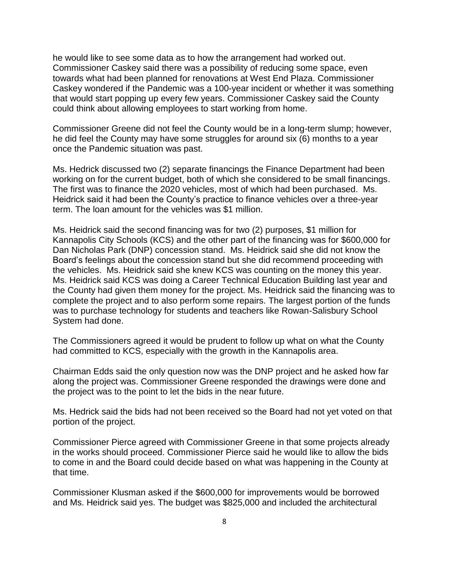he would like to see some data as to how the arrangement had worked out. Commissioner Caskey said there was a possibility of reducing some space, even towards what had been planned for renovations at West End Plaza. Commissioner Caskey wondered if the Pandemic was a 100-year incident or whether it was something that would start popping up every few years. Commissioner Caskey said the County could think about allowing employees to start working from home.

Commissioner Greene did not feel the County would be in a long-term slump; however, he did feel the County may have some struggles for around six (6) months to a year once the Pandemic situation was past.

Ms. Hedrick discussed two (2) separate financings the Finance Department had been working on for the current budget, both of which she considered to be small financings. The first was to finance the 2020 vehicles, most of which had been purchased. Ms. Heidrick said it had been the County's practice to finance vehicles over a three-year term. The loan amount for the vehicles was \$1 million.

Ms. Heidrick said the second financing was for two (2) purposes, \$1 million for Kannapolis City Schools (KCS) and the other part of the financing was for \$600,000 for Dan Nicholas Park (DNP) concession stand. Ms. Heidrick said she did not know the Board's feelings about the concession stand but she did recommend proceeding with the vehicles. Ms. Heidrick said she knew KCS was counting on the money this year. Ms. Heidrick said KCS was doing a Career Technical Education Building last year and the County had given them money for the project. Ms. Heidrick said the financing was to complete the project and to also perform some repairs. The largest portion of the funds was to purchase technology for students and teachers like Rowan-Salisbury School System had done.

The Commissioners agreed it would be prudent to follow up what on what the County had committed to KCS, especially with the growth in the Kannapolis area.

Chairman Edds said the only question now was the DNP project and he asked how far along the project was. Commissioner Greene responded the drawings were done and the project was to the point to let the bids in the near future.

Ms. Hedrick said the bids had not been received so the Board had not yet voted on that portion of the project.

Commissioner Pierce agreed with Commissioner Greene in that some projects already in the works should proceed. Commissioner Pierce said he would like to allow the bids to come in and the Board could decide based on what was happening in the County at that time.

Commissioner Klusman asked if the \$600,000 for improvements would be borrowed and Ms. Heidrick said yes. The budget was \$825,000 and included the architectural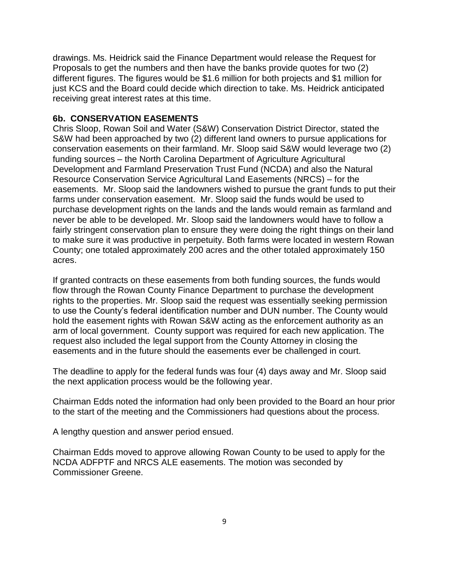drawings. Ms. Heidrick said the Finance Department would release the Request for Proposals to get the numbers and then have the banks provide quotes for two (2) different figures. The figures would be \$1.6 million for both projects and \$1 million for just KCS and the Board could decide which direction to take. Ms. Heidrick anticipated receiving great interest rates at this time.

#### **6b. CONSERVATION EASEMENTS**

Chris Sloop, Rowan Soil and Water (S&W) Conservation District Director, stated the S&W had been approached by two (2) different land owners to pursue applications for conservation easements on their farmland. Mr. Sloop said S&W would leverage two (2) funding sources – the North Carolina Department of Agriculture Agricultural Development and Farmland Preservation Trust Fund (NCDA) and also the Natural Resource Conservation Service Agricultural Land Easements (NRCS) – for the easements. Mr. Sloop said the landowners wished to pursue the grant funds to put their farms under conservation easement. Mr. Sloop said the funds would be used to purchase development rights on the lands and the lands would remain as farmland and never be able to be developed. Mr. Sloop said the landowners would have to follow a fairly stringent conservation plan to ensure they were doing the right things on their land to make sure it was productive in perpetuity. Both farms were located in western Rowan County; one totaled approximately 200 acres and the other totaled approximately 150 acres.

If granted contracts on these easements from both funding sources, the funds would flow through the Rowan County Finance Department to purchase the development rights to the properties. Mr. Sloop said the request was essentially seeking permission to use the County's federal identification number and DUN number. The County would hold the easement rights with Rowan S&W acting as the enforcement authority as an arm of local government. County support was required for each new application. The request also included the legal support from the County Attorney in closing the easements and in the future should the easements ever be challenged in court.

The deadline to apply for the federal funds was four (4) days away and Mr. Sloop said the next application process would be the following year.

Chairman Edds noted the information had only been provided to the Board an hour prior to the start of the meeting and the Commissioners had questions about the process.

A lengthy question and answer period ensued.

Chairman Edds moved to approve allowing Rowan County to be used to apply for the NCDA ADFPTF and NRCS ALE easements. The motion was seconded by Commissioner Greene.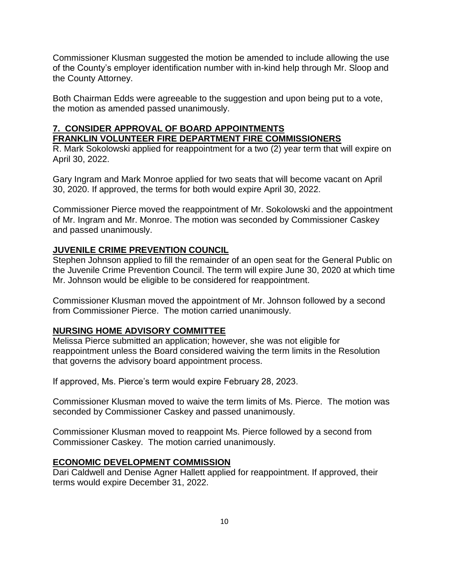Commissioner Klusman suggested the motion be amended to include allowing the use of the County's employer identification number with in-kind help through Mr. Sloop and the County Attorney.

Both Chairman Edds were agreeable to the suggestion and upon being put to a vote, the motion as amended passed unanimously.

# **7. CONSIDER APPROVAL OF BOARD APPOINTMENTS FRANKLIN VOLUNTEER FIRE DEPARTMENT FIRE COMMISSIONERS**

R. Mark Sokolowski applied for reappointment for a two (2) year term that will expire on April 30, 2022.

Gary Ingram and Mark Monroe applied for two seats that will become vacant on April 30, 2020. If approved, the terms for both would expire April 30, 2022.

Commissioner Pierce moved the reappointment of Mr. Sokolowski and the appointment of Mr. Ingram and Mr. Monroe. The motion was seconded by Commissioner Caskey and passed unanimously.

# **JUVENILE CRIME PREVENTION COUNCIL**

Stephen Johnson applied to fill the remainder of an open seat for the General Public on the Juvenile Crime Prevention Council. The term will expire June 30, 2020 at which time Mr. Johnson would be eligible to be considered for reappointment.

Commissioner Klusman moved the appointment of Mr. Johnson followed by a second from Commissioner Pierce. The motion carried unanimously.

## **NURSING HOME ADVISORY COMMITTEE**

Melissa Pierce submitted an application; however, she was not eligible for reappointment unless the Board considered waiving the term limits in the Resolution that governs the advisory board appointment process.

If approved, Ms. Pierce's term would expire February 28, 2023.

Commissioner Klusman moved to waive the term limits of Ms. Pierce. The motion was seconded by Commissioner Caskey and passed unanimously.

Commissioner Klusman moved to reappoint Ms. Pierce followed by a second from Commissioner Caskey. The motion carried unanimously.

## **ECONOMIC DEVELOPMENT COMMISSION**

Dari Caldwell and Denise Agner Hallett applied for reappointment. If approved, their terms would expire December 31, 2022.